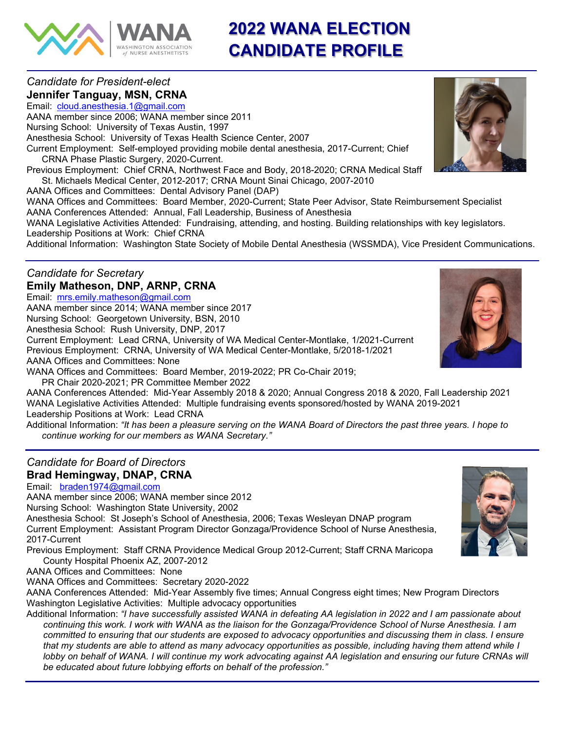

# **2022 WANA ELECTION CANDIDATE PROFILE**

# *Candidate for President-elect* **Jennifer Tanguay, MSN, CRNA**

Email: [cloud.anesthesia.1@gmail.com](mailto:cloud.anesthesia.1@gmail.com) AANA member since 2006; WANA member since 2011 Nursing School: University of Texas Austin, 1997 Anesthesia School: University of Texas Health Science Center, 2007 Current Employment: Self-employed providing mobile dental anesthesia, 2017-Current; Chief CRNA Phase Plastic Surgery, 2020-Current. Previous Employment: Chief CRNA, Northwest Face and Body, 2018-2020; CRNA Medical Staff St. Michaels Medical Center, 2012-2017; CRNA Mount Sinai Chicago, 2007-2010 AANA Offices and Committees: Dental Advisory Panel (DAP) WANA Offices and Committees: Board Member, 2020-Current; State Peer Advisor, State Reimbursement Specialist AANA Conferences Attended: Annual, Fall Leadership, Business of Anesthesia WANA Legislative Activities Attended: Fundraising, attending, and hosting. Building relationships with key legislators. Leadership Positions at Work: Chief CRNA

Additional Information: Washington State Society of Mobile Dental Anesthesia (WSSMDA), Vice President Communications.

#### *Candidate for Secretary* **Emily Matheson, DNP, ARNP, CRNA**

Email: [mrs.emily.matheson@gmail.com](mailto:mrs.emily.matheson@gmail.com) AANA member since 2014; WANA member since 2017 Nursing School: Georgetown University, BSN, 2010 Anesthesia School: Rush University, DNP, 2017 Current Employment: Lead CRNA, University of WA Medical Center-Montlake, 1/2021-Current Previous Employment: CRNA, University of WA Medical Center-Montlake, 5/2018-1/2021 AANA Offices and Committees: None

WANA Offices and Committees: Board Member, 2019-2022; PR Co-Chair 2019;

PR Chair 2020-2021; PR Committee Member 2022

AANA Conferences Attended: Mid-Year Assembly 2018 & 2020; Annual Congress 2018 & 2020, Fall Leadership 2021 WANA Legislative Activities Attended: Multiple fundraising events sponsored/hosted by WANA 2019-2021 Leadership Positions at Work: Lead CRNA

Additional Information: *"It has been a pleasure serving on the WANA Board of Directors the past three years. I hope to continue working for our members as WANA Secretary."*

# *Candidate for Board of Directors* **Brad Hemingway, DNAP, CRNA**

Email: [braden1974@gmail.com](mailto:braden1974@gmail.com)

AANA member since 2006; WANA member since 2012

Nursing School: Washington State University, 2002

Anesthesia School: St Joseph's School of Anesthesia, 2006; Texas Wesleyan DNAP program Current Employment: Assistant Program Director Gonzaga/Providence School of Nurse Anesthesia, 2017-Current

Previous Employment: Staff CRNA Providence Medical Group 2012-Current; Staff CRNA Maricopa County Hospital Phoenix AZ, 2007-2012

AANA Offices and Committees: None

WANA Offices and Committees: Secretary 2020-2022

AANA Conferences Attended: Mid-Year Assembly five times; Annual Congress eight times; New Program Directors Washington Legislative Activities: Multiple advocacy opportunities

Additional Information: *"I have successfully assisted WANA in defeating AA legislation in 2022 and I am passionate about continuing this work. I work with WANA as the liaison for the Gonzaga/Providence School of Nurse Anesthesia. I am committed to ensuring that our students are exposed to advocacy opportunities and discussing them in class. I ensure that my students are able to attend as many advocacy opportunities as possible, including having them attend while I lobby on behalf of WANA. I will continue my work advocating against AA legislation and ensuring our future CRNAs will be educated about future lobbying efforts on behalf of the profession."*





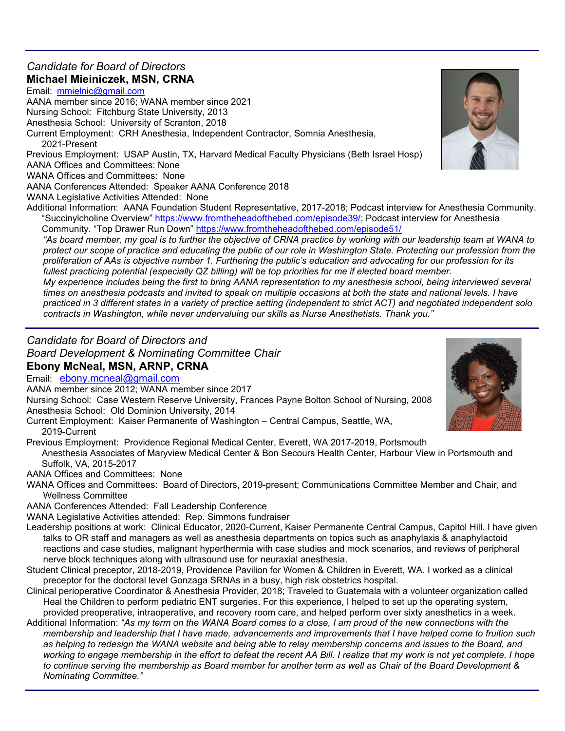# *Candidate for Board of Directors* **Michael Mieiniczek, MSN, CRNA**

Email: [mmielnic@gmail.com](mailto:mmielnic@gmail.com) AANA member since 2016; WANA member since 2021

Nursing School: Fitchburg State University, 2013

Anesthesia School: University of Scranton, 2018

Current Employment: CRH Anesthesia, Independent Contractor, Somnia Anesthesia,

2021-Present Previous Employment: USAP Austin, TX, Harvard Medical Faculty Physicians (Beth Israel Hosp)

AANA Offices and Committees: None

WANA Offices and Committees: None

AANA Conferences Attended: Speaker AANA Conference 2018

WANA Legislative Activities Attended: None

Additional Information: AANA Foundation Student Representative, 2017-2018; Podcast interview for Anesthesia Community. "Succinylcholine Overview" [https://www.fromtheheadofthebed.com/episode39/;](https://www.fromtheheadofthebed.com/episode39/) Podcast interview for Anesthesia Community. "Top Drawer Run Down"<https://www.fromtheheadofthebed.com/episode51/>

*"As board member, my goal is to further the objective of CRNA practice by working with our leadership team at WANA to protect our scope of practice and educating the public of our role in Washington State. Protecting our profession from the proliferation of AAs is objective number 1. Furthering the public's education and advocating for our profession for its fullest practicing potential (especially QZ billing) will be top priorities for me if elected board member.*

*My experience includes being the first to bring AANA representation to my anesthesia school, being interviewed several times on anesthesia podcasts and invited to speak on multiple occasions at both the state and national levels. I have practiced in 3 different states in a variety of practice setting (independent to strict ACT) and negotiated independent solo contracts in Washington, while never undervaluing our skills as Nurse Anesthetists. Thank you."*

### *Candidate for Board of Directors and Board Development & Nominating Committee Chair* **Ebony McNeal, MSN, ARNP, CRNA**

Email: [ebony.mcneal@gmail.com](mailto:ebony.mcneal@gmail.com)

AANA member since 2012; WANA member since 2017

Nursing School: Case Western Reserve University, Frances Payne Bolton School of Nursing, 2008 Anesthesia School: Old Dominion University, 2014

Current Employment: Kaiser Permanente of Washington – Central Campus, Seattle, WA, 2019-Current

Previous Employment: Providence Regional Medical Center, Everett, WA 2017-2019, Portsmouth

Anesthesia Associates of Maryview Medical Center & Bon Secours Health Center, Harbour View in Portsmouth and Suffolk, VA, 2015-2017

AANA Offices and Committees: None

WANA Offices and Committees: Board of Directors, 2019-present; Communications Committee Member and Chair, and Wellness Committee

AANA Conferences Attended: Fall Leadership Conference

WANA Legislative Activities attended: Rep. Simmons fundraiser

- Leadership positions at work: Clinical Educator, 2020-Current, Kaiser Permanente Central Campus, Capitol Hill. I have given talks to OR staff and managers as well as anesthesia departments on topics such as anaphylaxis & anaphylactoid reactions and case studies, malignant hyperthermia with case studies and mock scenarios, and reviews of peripheral nerve block techniques along with ultrasound use for neuraxial anesthesia.
- Student Clinical preceptor, 2018-2019, Providence Pavilion for Women & Children in Everett, WA. I worked as a clinical preceptor for the doctoral level Gonzaga SRNAs in a busy, high risk obstetrics hospital.
- Clinical perioperative Coordinator & Anesthesia Provider, 2018; Traveled to Guatemala with a volunteer organization called Heal the Children to perform pediatric ENT surgeries. For this experience, I helped to set up the operating system, provided preoperative, intraoperative, and recovery room care, and helped perform over sixty anesthetics in a week.
- Additional Information: *"As my term on the WANA Board comes to a close, I am proud of the new connections with the membership and leadership that I have made, advancements and improvements that I have helped come to fruition such as helping to redesign the WANA website and being able to relay membership concerns and issues to the Board, and working to engage membership in the effort to defeat the recent AA Bill. I realize that my work is not yet complete. I hope to continue serving the membership as Board member for another term as well as Chair of the Board Development & Nominating Committee."*